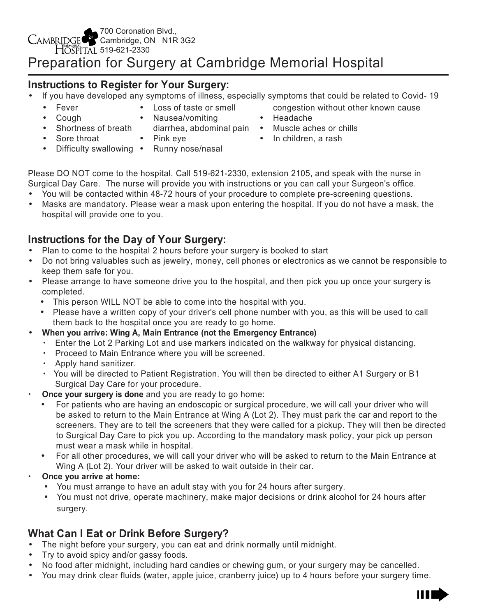# **Instructions to Register for Your Surgery:**

- If you have developed any symptoms of illness, especially symptoms that could be related to Covid- 19
	- Fever
- Loss of taste or smell
- Cough • Shortness of breath
	- Nausea/vomiting
		-
- Sore throat
- Pink eve
- Difficulty swallowing Runny nose/nasal
- congestion without other known cause
- Headache
- diarrhea, abdominal pain Muscle aches or chills
	- In children, a rash

Please DO NOT come to the hospital. Call 519-621-2330, extension 2105, and speak with the nurse in Surgical Day Care. The nurse will provide you with instructions or you can call your Surgeon's office.

- You will be contacted within 48-72 hours of your procedure to complete pre-screening questions.
- Masks are mandatory. Please wear a mask upon entering the hospital. If you do not have a mask, the hospital will provide one to you.

# **Instructions for the Day of Your Surgery:**

- Plan to come to the hospital 2 hours before your surgery is booked to start
- Do not bring valuables such as jewelry, money, cell phones or electronics as we cannot be responsible to keep them safe for you.
- Please arrange to have someone drive you to the hospital, and then pick you up once your surgery is completed.
	- This person WILL NOT be able to come into the hospital with you.
	- Please have a written copy of your driver's cell phone number with you, as this will be used to call them back to the hospital once you are ready to go home.
- **When you arrive: Wing A, Main Entrance (not the Emergency Entrance)**
	- $\cdot$  Enter the Lot 2 Parking Lot and use markers indicated on the walkway for physical distancing.
	- Proceed to Main Entrance where you will be screened.
	- $\cdot$  Apply hand sanitizer.
	- $\cdot$  You will be directed to Patient Registration. You will then be directed to either A1 Surgery or B1 Surgical Day Care for your procedure.
- **Once your surgery is done** and you are ready to go home:
	- For patients who are having an endoscopic or surgical procedure, we will call your driver who will be asked to return to the Main Entrance at Wing A (Lot 2). They must park the car and report to the screeners. They are to tell the screeners that they were called for a pickup. They will then be directed to Surgical Day Care to pick you up. According to the mandatory mask policy, your pick up person must wear a mask while in hospital.
	- For all other procedures, we will call your driver who will be asked to return to the Main Entrance at Wing A (Lot 2). Your driver will be asked to wait outside in their car.
- x **Once you arrive at home:**
	- You must arrange to have an adult stay with you for 24 hours after surgery.
	- You must not drive, operate machinery, make major decisions or drink alcohol for 24 hours after surgery.

# **What Can I Eat or Drink Before Surgery?**

- The night before your surgery, you can eat and drink normally until midnight.
- Try to avoid spicy and/or gassy foods.
- No food after midnight, including hard candies or chewing gum, or your surgery may be cancelled.
- You may drink clear fluids (water, apple juice, cranberry juice) up to 4 hours before your surgery time.